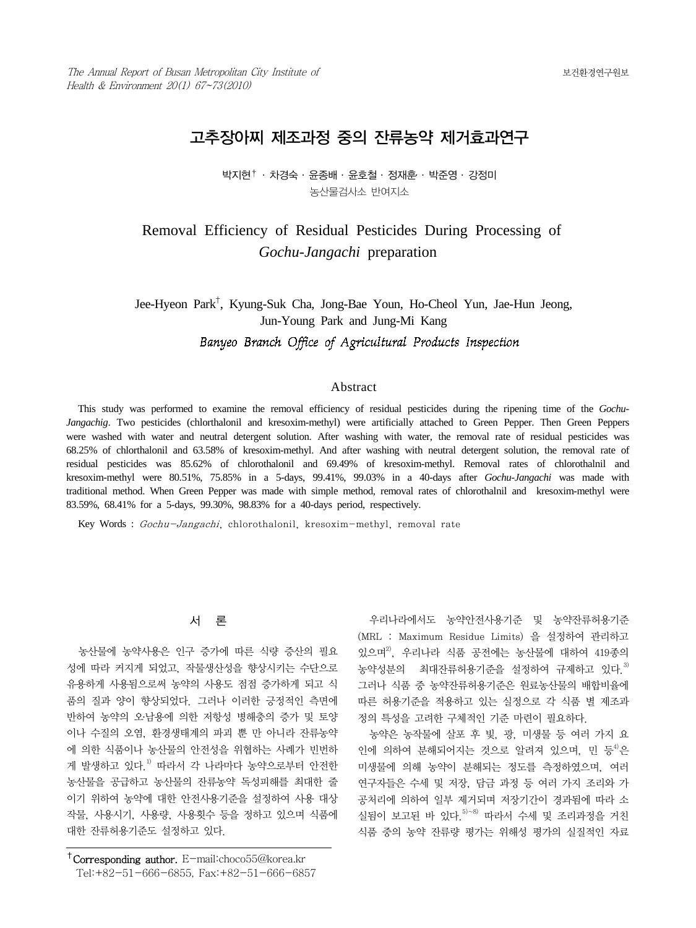# 고추장아찌 제조과정 중의 잔류농약 제거효과연구

박지현† ․ 차경숙 ․ 윤종배 ․ 윤호철 ․ 정재훈․ ․ 박준영 ․ 강정미 농산물검사소 반여지소

# Removal Efficiency of Residual Pesticides During Processing of *Gochu-Jangachi* preparation

Jee-Hyeon Park† , Kyung-Suk Cha, Jong-Bae Youn, Ho-Cheol Yun, Jae-Hun Jeong, Jun-Young Park and Jung-Mi Kang

## Banyeo Branch Office of Agricultural Products Inspection

## Abstract

This study was performed to examine the removal efficiency of residual pesticides during the ripening time of the *Gochu-Jangachig*. Two pesticides (chlorthalonil and kresoxim-methyl) were artificially attached to Green Pepper. Then Green Peppers were washed with water and neutral detergent solution. After washing with water, the removal rate of residual pesticides was 68.25% of chlorthalonil and 63.58% of kresoxim-methyl. And after washing with neutral detergent solution, the removal rate of residual pesticides was 85.62% of chlorothalonil and 69.49% of kresoxim-methyl. Removal rates of chlorothalnil and kresoxim-methyl were 80.51%, 75.85% in a 5-days, 99.41%, 99.03% in a 40-days after *Gochu-Jangachi* was made with traditional method. When Green Pepper was made with simple method, removal rates of chlorothalnil and kresoxim-methyl were 83.59%, 68.41% for a 5-days, 99.30%, 98.83% for a 40-days period, respectively.

Key Words : Gochu-Jangachi, chlorothalonil, kresoxim-methyl, removal rate

## 서 론

농산물에 농약사용은 인구 증가에 따른 식량 증산의 필요 성에 따라 커지게 되었고, 작물생산성을 향상시키는 수단으로 유용하게 사용됨으로써 농약의 사용도 점점 증가하게 되고 식 품의 질과 양이 향상되었다. 그러나 이러한 긍정적인 측면에 반하여 농약의 오․남용에 의한 저항성 병해충의 증가 및 토양 이나 수질의 오염, 환경생태계의 파괴 뿐 만 아니라 잔류농약 에 의한 식품이나 농산물의 안전성을 위협하는 사례가 빈번하 게 발생하고 있다.1) 따라서 각 나라마다 농약으로부터 안전한 농산물을 공급하고 농산물의 잔류농약 독성피해를 최대한 줄 이기 위하여 농약에 대한 안전사용기준을 설정하여 사용 대상 작물, 사용시기, 사용량, 사용횟수 등을 정하고 있으며 식품에 대한 잔류허용기준도 설정하고 있다.

우리나라에서도 농약안전사용기준 및 농약잔류허용기준 (MRL : Maximum Residue Limits) 을 설정하여 관리하고 있으며2), 우리나라 식품 공전에는 농산물에 대하여 419종의 농약성분의 최대잔류허용기준을 설정하여 규제하고 있다.3) 그러나 식품 중 농약잔류허용기준은 원료농산물의 배합비율에 따른 허용기준을 적용하고 있는 실정으로 각 식품 별 제조과 정의 특성을 고려한 구체적인 기준 마련이 필요하다.

농약은 농작물에 살포 후 빛, 광, 미생물 등 여러 가지 요 인에 의하여 분해되어지는 것으로 알려져 있으며, 민 등<sup>4)</sup>은 미생물에 의해 농약이 분해되는 정도를 측정하였으며, 여러 연구자들은 수세 및 저장, 담금 과정 등 여러 가지 조리와 가 공처리에 의하여 일부 제거되며 저장기간이 경과됨에 따라 소 실됨이 보고된 바 있다.  $5 - 8$  따라서 수세 및 조리과정을 거친 식품 중의 농약 잔류량 평가는 위해성 평가의 실질적인 자료

<sup>†</sup>Corresponding author. E-mail:choco55@korea.kr Tel:+82-51-666-6855, Fax:+82-51-666-6857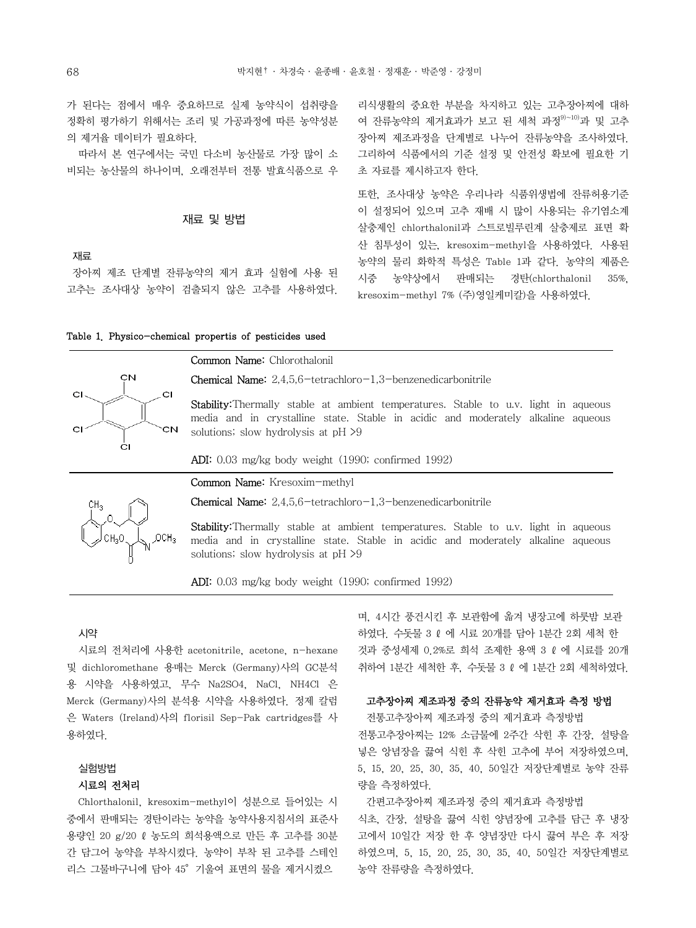가 된다는 점에서 매우 중요하므로 실제 농약식이 섭취량을 정확히 평가하기 위해서는 조리 및 가공과정에 따른 농약성분 의 제거율 데이터가 필요하다.

따라서 본 연구에서는 국민 다소비 농산물로 가장 많이 소 비되는 농산물의 하나이며, 오래전부터 전통 발효식품으로 우

## 재료 및 방법

재료

장아찌 제조 단계별 잔류농약의 제거 효과 실험에 사용 된 고추는 조사대상 농약이 검출되지 않은 고추를 사용하였다. 리식생활의 중요한 부분을 차지하고 있는 고추장아찌에 대하 여 잔류농약의 제거효과가 보고 된 세척 과정<sup>9)~10)</sup>과 및 고추 장아찌 제조과정을 단계별로 나누어 잔류농약을 조사하였다. 그리하여 식품에서의 기준 설정 및 안전성 확보에 필요한 기 초 자료를 제시하고자 한다.

또한, 조사대상 농약은 우리나라 식품위생법에 잔류허용기준 이 설정되어 있으며 고추 재배 시 많이 사용되는 유기염소계 살충제인 chlorthalonil과 스트로빌루린계 살충제로 표면 확 산 침투성이 있는, kresoxim-methyl을 사용하였다. 사용된 농약의 물리 화학적 특성은 Table 1과 같다. 농약의 제품은 시중 농약상에서 판매되는 경탄(chlorthalonil 35%, kresoxim-methyl 7% (주)영일케미칼)을 사용하였다.

| Table 1. Physico-chemical propertis of pesticides used |  |  |  |  |
|--------------------------------------------------------|--|--|--|--|
|--------------------------------------------------------|--|--|--|--|



Common Name: Chlorothalonil

Chemical Name: 2,4,5,6-tetrachloro-1,3-benzenedicarbonitrile

Stability:Thermally stable at ambient temperatures. Stable to u.v. light in aqueous media and in crystalline state. Stable in acidic and moderately alkaline aqueous solutions; slow hydrolysis at pH  $>9$ 

ADI: 0.03 mg/kg body weight (1990; confirmed 1992)

Common Name: Kresoxim-methyl



Chemical Name: 2,4,5,6-tetrachloro-1,3-benzenedicarbonitrile

Stability:Thermally stable at ambient temperatures. Stable to u.v. light in aqueous media and in crystalline state. Stable in acidic and moderately alkaline aqueous solutions; slow hydrolysis at pH  $>9$ 

ADI: 0.03 mg/kg body weight (1990; confirmed 1992)

#### 시약

시료의 전처리에 사용한 acetonitrile, acetone, n-hexane 및 dichloromethane 용매는 Merck (Germany)사의 GC분석 용 시약을 사용하였고, 무수 Na2SO4, NaCl, NH4Cl 은 Merck (Germany)사의 분석용 시약을 사용하였다. 정제 칼럼 은 Waters (Ireland)사의 florisil Sep-Pak cartridges를 사 용하였다.

## 실험방법

#### 시료의 전처리

Chlorthalonil, kresoxim-methyl이 성분으로 들어있는 시 중에서 판매되는 경탄이라는 농약을 농약사용지침서의 표준사 용량인 20 g/20 ℓ농도의 희석용액으로 만든 후 고추를 30분 간 담그어 농약을 부착시켰다. 농약이 부착 된 고추를 스테인 리스 그물바구니에 담아 45°기울여 표면의 물을 제거시켰으

며, 4시간 풍건시킨 후 보관함에 옯겨 냉장고에 하룻밤 보관 하였다. 수돗물 3 ℓ에 시료 20개를 담아 1분간 2회 세척 한 것과 중성세제 0.2%로 희석 조제한 용액 3 ℓ에 시료를 20개 취하여 1분간 세척한 후, 수돗물 3 ℓ 에 1분간 2회 세척하였다.

#### 고추장아찌 제조과정 중의 잔류농약 제거효과 측정 방법

 전통고추장아찌 제조과정 중의 제거효과 측정방법 전통고추장아찌는 12% 소금물에 2주간 삭힌 후 간장, 설탕을 넣은 앙념장을 끓여 식힌 후 삭힌 고추에 부어 저장하였으며, 5, 15, 20, 25, 30, 35, 40, 50일간 저장단계별로 농약 잔류 량을 측정하였다.

 간편고추장아찌 제조과정 중의 제거효과 측정방법 식초, 간장, 설탕을 끓여 식힌 양념장에 고추를 담근 후 냉장 고에서 10일간 저장 한 후 양념장만 다시 끓여 부은 후 저장 하였으며, 5, 15, 20, 25, 30, 35, 40, 50일간 저장단계별로 농약 잔류량을 측정하였다.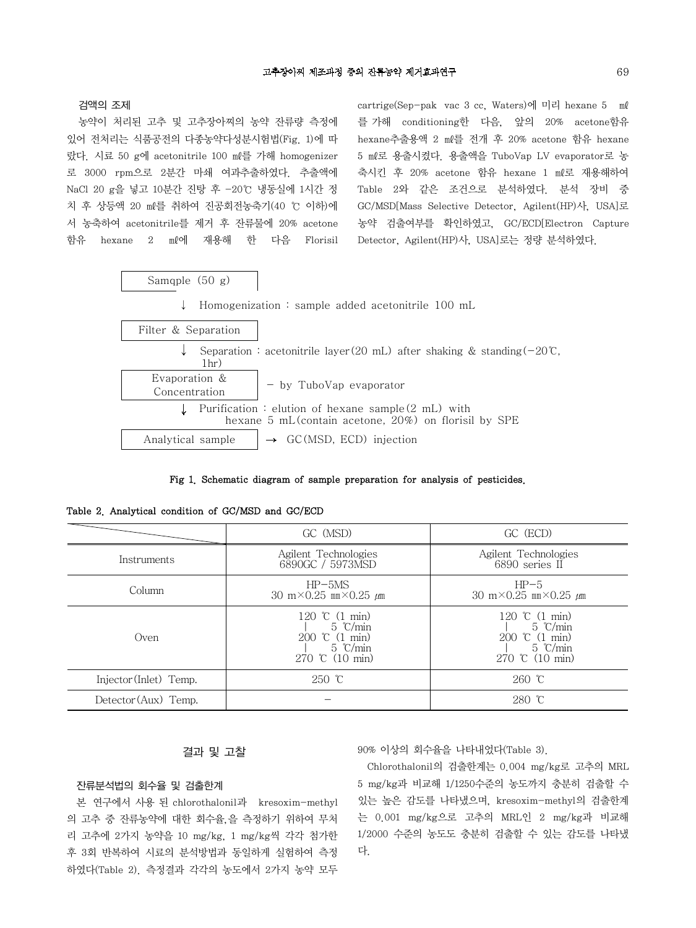검액의 조제

농약이 처리된 고추 및 고추장아찌의 농약 잔류량 측정에 있어 전처리는 식품공전의 다종농약다성분시험법(Fig. 1)에 따 랐다. 시료 50 g에 acetonitrile 100 ㎖를 가해 homogenizer 로 3000 rpm으로 2분간 마쇄 여과추출하였다. 추출액에 NaCl 20 g을 넣고 10분간 진탕 후 -20℃ 냉동실에 1시간 정 치 후 상등액 20 ㎖를 취하여 진공회전농축기(40 ℃ 이하)에 서 농축하여 acetonitrile를 제거 후 잔류물에 20% acetone 함유 hexane 2 ㎖에 재용해 한 다음 Florisil cartrige(Sep-pak vac 3 cc, Waters)에 미리 hexane 5 ㎖ 를 가해 conditioning한 다음, 앞의 20% acetone함유 hexane추출용액 2 ㎖를 전개 후 20% acetone 함유 hexane 5 ㎖로 용출시켰다. 용출액을 TuboVap LV evaporator로 농 축시킨 후 20% acetone 함유 hexane 1 ㎖로 재용해하여 Table 2와 같은 조건으로 분석하였다. 분석 장비 중 GC/MSD[Mass Selective Detector, Agilent(HP)사, USA]로 농약 검출여부를 확인하였고, GC/ECD[Electron Capture Detector, Agilent(HP)사, USA]로는 정량 분석하였다.



Fig 1. Schematic diagram of sample preparation for analysis of pesticides.

Table 2. Analytical condition of GC/MSD and GC/ECD

|                        | GC (MSD)                                                                                                         | GC (ECD)                                                                                              |
|------------------------|------------------------------------------------------------------------------------------------------------------|-------------------------------------------------------------------------------------------------------|
| Instruments            | Agilent Technologies<br>6890GC / 5973MSD                                                                         | Agilent Technologies<br>6890 series II                                                                |
| Column                 | $HP-5MS$<br>30 m $\times$ 0.25 mm $\times$ 0.25 $\mu$ m                                                          | $HP-5$<br>30 m $\times$ 0.25 mm $\times$ 0.25 $\mu$ m                                                 |
| Oven                   | 120 °C $(1 \text{ min})$<br>$5 \degree$ C/min<br>200 ℃ (1 min)<br>$5 \degree$ C/min<br>270 °C $(10 \text{ min})$ | 120 °C $(1 \text{ min})$<br>$5 \degree$ C/min<br>200 ℃ (1 min)<br>$5 \degree$ C/min<br>270 ℃ (10 min) |
| Injector (Inlet) Temp. | $250$ °C                                                                                                         | $260$ °C                                                                                              |
| Detector (Aux) Temp.   |                                                                                                                  | $280$ °C                                                                                              |

## 결과 및 고찰

#### 잔류분석법의 회수율 및 검출한계

본 연구에서 사용 된 chlorothalonil과 kresoxim-methyl 의 고추 중 잔류농약에 대한 회수율,을 측정하기 위하여 무처 리 고추에 2가지 농약을 10 mg/kg, 1 mg/kg씩 각각 첨가한 후 3회 반복하여 시료의 분석방법과 동일하게 실험하여 측정 하였다(Table 2). 측정결과 각각의 농도에서 2가지 농약 모두

90% 이상의 회수율을 나타내었다(Table 3).

Chlorothalonil의 검출한계는 0.004 mg/kg로 고추의 MRL 5 mg/kg과 비교해 1/1250수준의 농도까지 충분히 검출할 수 있는 높은 감도를 나타냈으며, kresoxim-methyl의 검출한계 는 0.001 mg/kg으로 고추의 MRL인 2 mg/kg과 비교해 1/2000 수준의 농도도 충분히 검출할 수 있는 감도를 나타냈 다.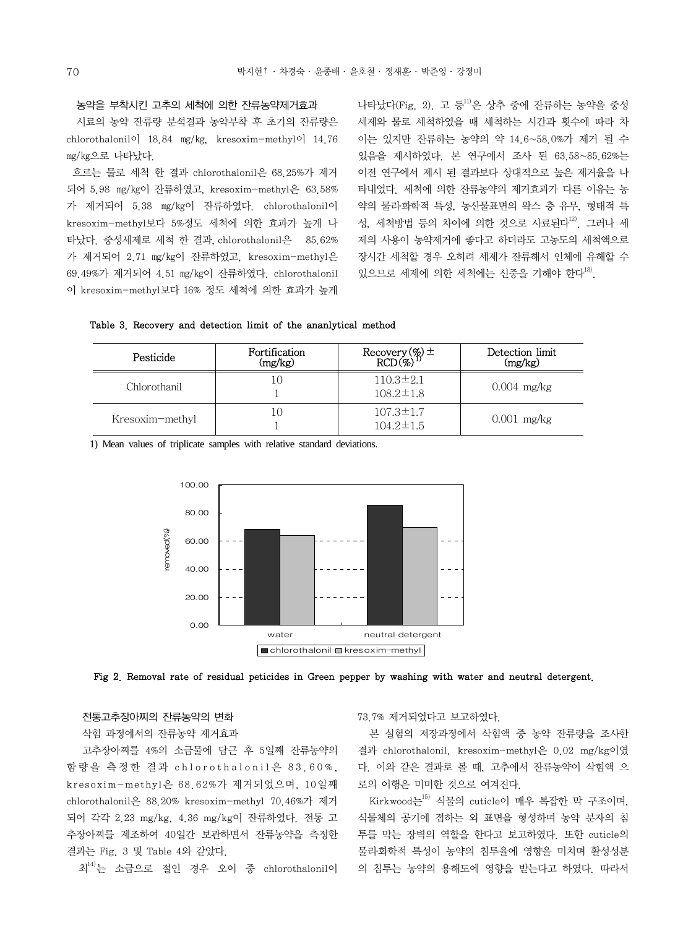#### 농약을 부착시킨 고추의 세척에 의한 잔류농약제거효과

시료의 농약 잔류량 분석결과 농약부착 후 초기의 잔류량은 chlorothalonil이 18.84 ㎎/㎏, kresoxim-methyl이 14.76 ㎎/㎏으로 나타났다.

흐르는 물로 세척 한 결과 chlorothalonil은 68.25%가 제거 되어 5.98 ㎎/㎏이 잔류하였고, kresoxim-methyl은 63.58% 가 제거되어 5.38 ㎎/㎏이 잔류하였다. chlorothalonil이 kresoxim-methyl보다 5%정도 세척에 의한 효과가 높게 나 타났다. 중성세제로 세척 한 결과, chlorothalonil은 85.62% 가 제거되어 2.71 ㎎/㎏이 잔류하였고, kresoxim-methyl은 69.49%가 제거되어 4.51 ㎎/㎏이 잔류하였다. chlorothalonil 이 kresoxim-methyl보다 16% 정도 세척에 의한 효과가 높게 나타났다(Fig. 2). 고 등 $^{11}$ 은 상추 중에 잔류하는 농약을 중성 세제와 물로 세척하였을 때 세척하는 시간과 횟수에 따라 차 이는 있지만 잔류하는 농약의 약 14.6~58.0%가 제거 될 수 있음을 제시하였다. 본 연구에서 조사 된 63.58~85.62%는 이전 연구에서 제시 된 결과보다 상대적으로 높은 제거율을 나 타내었다. 세척에 의한 잔류농약의 제거효과가 다른 이유는 농 약의 물리․화학적 특성, 농산물표면의 왁스 층 유무, 형태적 특 성, 세척방법 등의 차이에 의한 것으로 사료되다<sup>12)</sup> 그러나 세 제의 사용이 농약제거에 좋다고 하더라도 고농도의 세척액으로 장시간 세척할 경우 오히려 세제가 잔류해서 인체에 유해할 수 있으므로 세제에 의한 세척에는 신중을 기해야 한다<sup>13)</sup>.

Table 3. Recovery and detection limit of the ananlytical method

| Pesticide       | Fortification<br>(mg/kg) | Recovery $(\%) \pm$<br>RCD $(\%)$ <sup>1)</sup> | Detection limit<br>(mg/kg) |
|-----------------|--------------------------|-------------------------------------------------|----------------------------|
| Chlorothanil    | 10                       | $110.3 \pm 2.1$<br>$108.2 \pm 1.8$              | $0.004$ mg/kg              |
| Kresoxim-methyl | 10                       | $107.3 \pm 1.7$<br>$104.2 \pm 1.5$              | $0.001$ mg/kg              |

1) Mean values of triplicate samples with relative standard deviations.





## 전통고추장아찌의 잔류농약의 변화

## 삭힘 과정에서의 잔류농약 제거효과

고추장아찌를 4%의 소금물에 담근 후 5일째 잔류농약의 함량을 측정한 결과 chlorothalonil은 83.60%. kresoxim-methyl은 68.62%가 제거되었으며, 10일째 chlorothalonil은 88.20% kresoxim-methyl 70.46%가 제거 되어 각각 2.23 mg/kg, 4.36 mg/kg이 잔류하였다. 전통 고 추장아찌를 제조하여 40일간 보관하면서 잔류농약을 측정한 결과는 Fig. 3 및 Table 4와 같았다.

최14)는 소금으로 절인 경우 오이 중 chlorothalonil이

73.7% 제거되었다고 보고하였다.

본 실험의 저장과정에서 삭힘액 중 농약 잔류량을 조사한 결과 chlorothalonil, kresoxim-methyl은 0.02 mg/kg이였 다. 이와 같은 결과로 볼 때, 고추에서 잔류농약이 삭힘액 으 로의 이행은 미미한 것으로 여겨진다.

Kirkwood는15) 식물의 cuticle이 매우 복잡한 막 구조이며, 식물체의 공기에 접하는 외 표면을 형성하며 농약 분자의 침 투를 막는 장벽의 역할을 한다고 보고하였다. 또한 cuticle의 물리․화학적 특성이 농약의 침투율에 영향을 미치며 활성성분 의 침투는 농약의 용해도에 영향을 받는다고 하였다. 따라서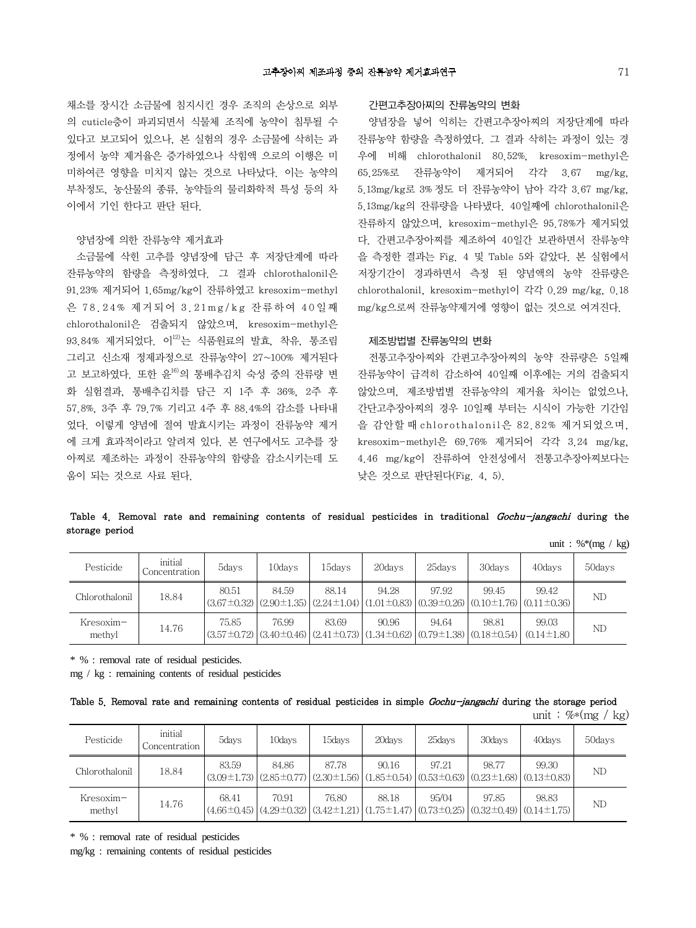채소를 장시간 소금물에 침지시킨 경우 조직의 손상으로 외부 의 cuticle층이 파괴되면서 식물체 조직에 농약이 침투될 수 있다고 보고되어 있으나, 본 실험의 경우 소금물에 삭히는 과 정에서 농약 제거율은 증가하였으나 삭힘액 으로의 이행은 미 미하여큰 영향을 미치지 않는 것으로 나타났다. 이는 농약의 부착정도, 농산물의 종류, 농약들의 물리화학적 특성 등의 차 이에서 기인 한다고 판단 된다.

#### 양념장에 의한 잔류농약 제거효과

소금물에 삭힌 고추를 양념장에 담근 후 저장단계에 따라 잔류농약의 함량을 측정하였다. 그 결과 chlorothalonil은 91.23% 제거되어 1.65mg/kg이 잔류하였고 kresoxim-methyl 은 7 8 . 2 4% 제거되어 3 . 2 1mg / k g 잔류하여 4 0일째 chlorothalonil은 검출되지 않았으며, kresoxim-methyl은 93.84% 제거되었다. 이<sup>12)</sup>는 식품원료의 발효, 착유, 통조림 그리고 신소재 정제과정으로 잔류농약이 27~100% 제거된다 고 보고하였다. 또한 윤16)의 통배추김치 숙성 중의 잔류량 변 화 실험결과, 통배추김치를 담근 지 1주 후 36%, 2주 후 57.8%, 3주 후 79.7% 기리고 4주 후 88.4%의 감소를 나타내 었다. 이렇게 양념에 절여 발효시키는 과정이 잔류농약 제거 에 크게 효과적이라고 알려져 있다. 본 연구에서도 고추를 장 아찌로 제조하는 과정이 잔류농약의 함량을 감소시키는데 도 움이 되는 것으로 사료 된다.

#### 간편고추장아찌의 잔류농약의 변화

양념장을 넣어 익히는 간편고추장아찌의 저장단계에 따라 잔류농약 함량을 측정하였다. 그 결과 삭히는 과정이 있는 경 우에 비해 chlorothalonil 80.52%, kresoxim-methyl은 65.25%로 잔류농약이 제거되어 각각 3.67 mg/kg, 5.13mg/kg로 3%정도 더 잔류농약이 남아 각각 3.67 mg/kg, 5.13mg/kg의 잔류량을 나타냈다. 40일째에 chlorothalonil은 잔류하지 않았으며, kresoxim-methyl은 95.78%가 제거되었 다. 간편고추장아찌를 제조하여 40일간 보관하면서 잔류농약 을 측정한 결과는 Fig. 4 및 Table 5와 같았다. 본 실험에서 저장기간이 경과하면서 측정 된 양념액의 농약 잔류량은 chlorothalonil, kresoxim-methyl이 각각 0.29 mg/kg, 0.18 mg/kg으로써 잔류농약제거에 영향이 없는 것으로 여겨진다.

### 제조방법별 잔류농약의 변화

전통고추장아찌와 간편고추장아찌의 농약 잔류량은 5일째 잔류농약이 급격히 감소하여 40일째 이후에는 거의 검출되지 않았으며, 제조방법별 잔류농약의 제거율 차이는 없었으나, 간단고추장아찌의 경우 10일째 부터는 시식이 가능한 기간임 을 감안할 때 chlorothaloni l은 82.82% 제거되었으며, kresoxim-methyl은 69.76% 제거되어 각각 3.24 mg/kg, 4.46 mg/kg이 잔류하여 안전성에서 전통고추장아찌보다는 낮은 것으로 판단된다(Fig. 4, 5).

## Table 4. Removal rate and remaining contents of residual pesticides in traditional Gochu-jangachi during the storage period

unit : % $*(mg / kg)$ 

| Pesticide           | initial<br>Concentration | 5days | 10days | 15days | 20days                                                                                                   | 25days | 30days                                                                                                                   | 40davs                     | 50days |
|---------------------|--------------------------|-------|--------|--------|----------------------------------------------------------------------------------------------------------|--------|--------------------------------------------------------------------------------------------------------------------------|----------------------------|--------|
| Chlorothalonil      | 18.84                    | 80.51 | 84.59  | 88.14  | 94.28                                                                                                    | 97.92  | 99.45<br>$(3.67\pm0.32)$ $(2.90\pm1.35)$ $(2.24\pm1.04)$ $(1.01\pm0.83)$ $(0.39\pm0.26)$ $(0.10\pm1.76)$ $(0.11\pm0.36)$ | 99.42                      | ND     |
| Kresoxim-<br>methyl | 14.76                    | 75.85 | 76.99  | 83.69  | 90.96<br>$(3.57\pm0.72)$ $(3.40\pm0.46)$ $(2.41\pm0.73)$ $(1.34\pm0.62)$ $(0.79\pm1.38)$ $(0.18\pm0.54)$ | 94.64  | 98.81                                                                                                                    | 99.03<br>$(0.14 \pm 1.80)$ | ND     |

\* % : removal rate of residual pesticides.

mg / kg : remaining contents of residual pesticides

|  |  |  |  |  |  |  |  | Table 5. Removal rate and remaining contents of residual pesticides in simple Gochu-jangachi during the storage period |  |  |
|--|--|--|--|--|--|--|--|------------------------------------------------------------------------------------------------------------------------|--|--|
|--|--|--|--|--|--|--|--|------------------------------------------------------------------------------------------------------------------------|--|--|

unit :  $%*(mg / kg)$ 

| Pesticide           | initial<br>Concentration | 5days                                                                                                                                                                                                         | 10days | 15days | 20 days | 25days | 30days | 40 days | 50days |
|---------------------|--------------------------|---------------------------------------------------------------------------------------------------------------------------------------------------------------------------------------------------------------|--------|--------|---------|--------|--------|---------|--------|
| Chlorothalonil      | 18.84                    | 83.59<br>$ (3.09\pm1.73) (2.85\pm0.77) (2.30\pm1.56) (1.85\pm0.54) (0.53\pm0.63) (0.23\pm1.68) (0.13\pm0.83)$                                                                                                 | 84.86  | 87.78  | 90.16   | 97.21  | 98.77  | 99.30   | ND     |
| Kresoxim-<br>methyl | 14.76                    | 68.41<br>$\left( (4.66\pm0.45) \left( (4.29\pm0.32) \left( (3.42\pm1.21) \right) \left( (1.75\pm1.47) \left( (0.73\pm0.25) \right) \left( (0.32\pm0.49) \right) \left( (0.14\pm1.75) \right) \right) \right)$ | 70.91  | 76.80  | 88.18   | 95/04  | 97.85  | 98.83   | ND     |

\* % : removal rate of residual pesticides

mg/kg : remaining contents of residual pesticides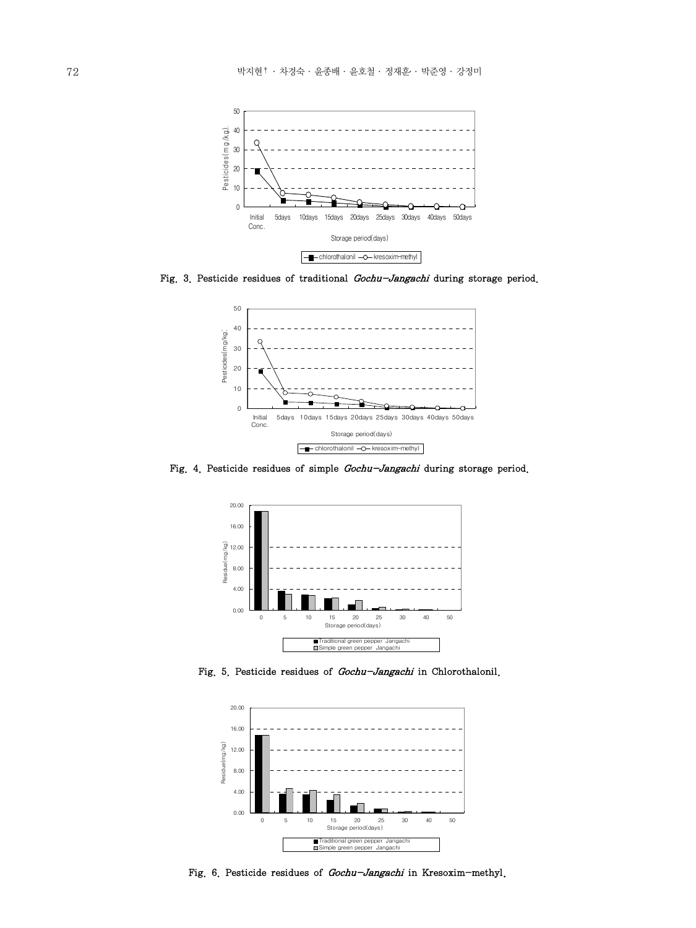

Fig. 3. Pesticide residues of traditional Gochu-Jangachi during storage period.



Fig. 4. Pesticide residues of simple Gochu-Jangachi during storage period.



Fig. 5. Pesticide residues of Gochu-Jangachi in Chlorothalonil.



Fig. 6. Pesticide residues of Gochu-Jangachi in Kresoxim-methyl.